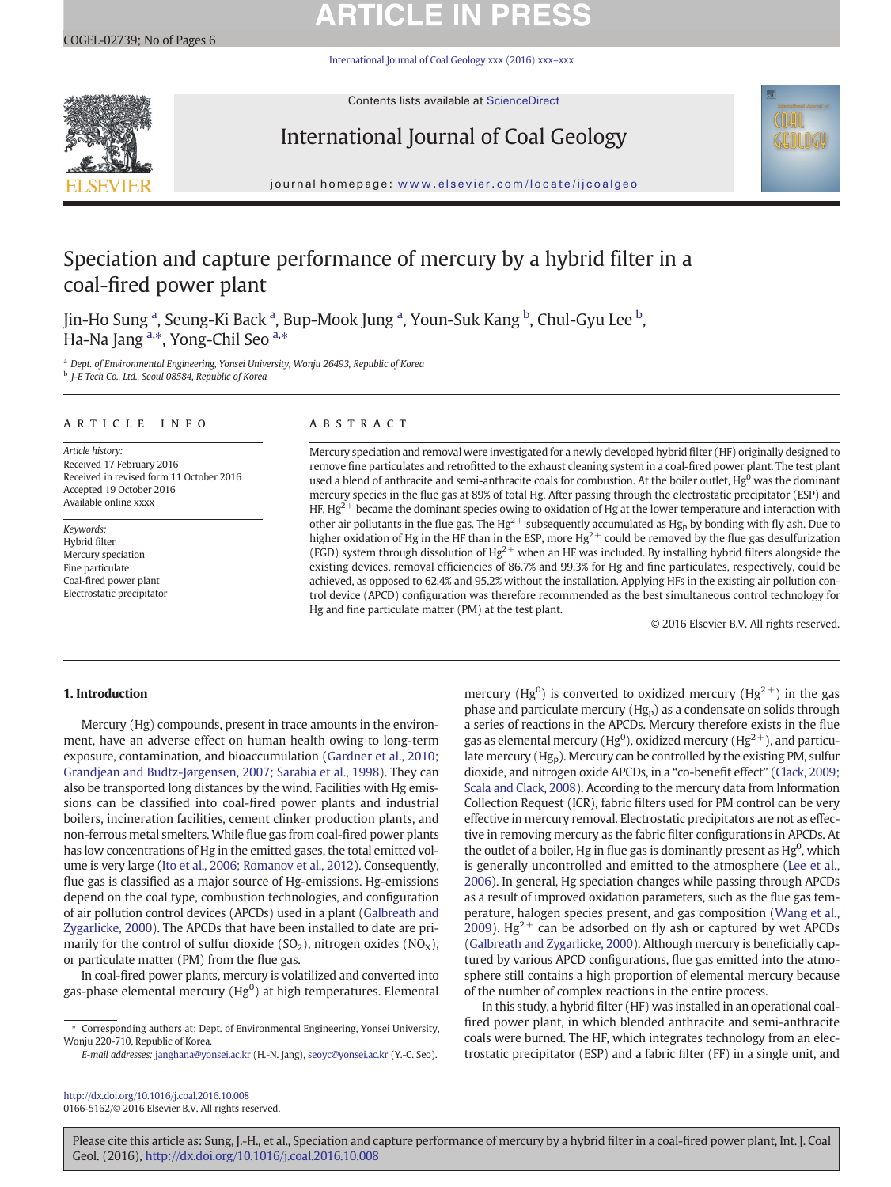# **ARTICLE IN PRESS**

[International Journal of Coal Geology xxx \(2016\) xxx](http://dx.doi.org/10.1016/j.coal.2016.10.008)–xxx



Contents lists available at ScienceDirect

# International Journal of Coal Geology



journal homepage: <www.elsevier.com/locate/ijcoalgeo>

# Speciation and capture performance of mercury by a hybrid filter in a coal-fired power plant

Jin-Ho Sung <sup>a</sup>, Seung-Ki Back <sup>a</sup>, Bup-Mook Jung <sup>a</sup>, Youn-Suk Kang <sup>b</sup>, Chul-Gyu Lee <sup>b</sup>, Ha-Na Jang <sup>a,\*</sup>, Yong-Chil Seo <sup>a,\*</sup>

<sup>a</sup> Dept. of Environmental Engineering, Yonsei University, Wonju 26493, Republic of Korea <sup>b</sup> J-E Tech Co., Ltd., Seoul 08584, Republic of Korea

#### article info abstract

Article history: Received 17 February 2016 Received in revised form 11 October 2016 Accepted 19 October 2016 Available online xxxx

Keywords: Hybrid filter Mercury speciation Fine particulate Coal-fired power plant Electrostatic precipitator

Mercury speciation and removal were investigated for a newly developed hybrid filter (HF) originally designed to remove fine particulates and retrofitted to the exhaust cleaning system in a coal-fired power plant. The test plant used a blend of anthracite and semi-anthracite coals for combustion. At the boiler outlet, Hg<sup>0</sup> was the dominant mercury species in the flue gas at 89% of total Hg. After passing through the electrostatic precipitator (ESP) and HF,  $Hg^{2+}$  became the dominant species owing to oxidation of Hg at the lower temperature and interaction with other air pollutants in the flue gas. The Hg<sup>2+</sup> subsequently accumulated as Hg<sub>p</sub> by bonding with fly ash. Due to higher oxidation of Hg in the HF than in the ESP, more  $Hg^{2+}$  could be removed by the flue gas desulfurization (FGD) system through dissolution of  $Hg^{2+}$  when an HF was included. By installing hybrid filters alongside the existing devices, removal efficiencies of 86.7% and 99.3% for Hg and fine particulates, respectively, could be achieved, as opposed to 62.4% and 95.2% without the installation. Applying HFs in the existing air pollution control device (APCD) configuration was therefore recommended as the best simultaneous control technology for Hg and fine particulate matter (PM) at the test plant.

© 2016 Elsevier B.V. All rights reserved.

#### 1. Introduction

Mercury (Hg) compounds, present in trace amounts in the environment, have an adverse effect on human health owing to long-term exposure, contamination, and bioaccumulation [\(Gardner et al., 2010;](#page--1-0) [Grandjean and Budtz-Jørgensen, 2007; Sarabia et al., 1998\)](#page--1-0). They can also be transported long distances by the wind. Facilities with Hg emissions can be classified into coal-fired power plants and industrial boilers, incineration facilities, cement clinker production plants, and non-ferrous metal smelters. While flue gas from coal-fired power plants has low concentrations of Hg in the emitted gases, the total emitted volume is very large [\(Ito et al., 2006; Romanov et al., 2012](#page--1-0)). Consequently, flue gas is classified as a major source of Hg-emissions. Hg-emissions depend on the coal type, combustion technologies, and configuration of air pollution control devices (APCDs) used in a plant [\(Galbreath and](#page--1-0) [Zygarlicke, 2000\)](#page--1-0). The APCDs that have been installed to date are primarily for the control of sulfur dioxide  $(SO<sub>2</sub>)$ , nitrogen oxides  $(NO<sub>X</sub>)$ , or particulate matter (PM) from the flue gas.

In coal-fired power plants, mercury is volatilized and converted into gas-phase elemental mercury (Hg $^0$ ) at high temperatures. Elemental

<http://dx.doi.org/10.1016/j.coal.2016.10.008> 0166-5162/© 2016 Elsevier B.V. All rights reserved.

mercury (Hg<sup>0</sup>) is converted to oxidized mercury (Hg<sup>2+</sup>) in the gas phase and particulate mercury  $(Hg_p)$  as a condensate on solids through a series of reactions in the APCDs. Mercury therefore exists in the flue gas as elemental mercury (Hg $^{0}$ ), oxidized mercury (Hg $^{2+}$ ), and particulate mercury (Hgp). Mercury can be controlled by the existing PM, sulfur dioxide, and nitrogen oxide APCDs, in a "co-benefit effect" ([Clack, 2009;](#page--1-0) [Scala and Clack, 2008](#page--1-0)). According to the mercury data from Information Collection Request (ICR), fabric filters used for PM control can be very effective in mercury removal. Electrostatic precipitators are not as effective in removing mercury as the fabric filter configurations in APCDs. At the outlet of a boiler, Hg in flue gas is dominantly present as  $Hg^0$ , which is generally uncontrolled and emitted to the atmosphere ([Lee et al.,](#page--1-0) [2006](#page--1-0)). In general, Hg speciation changes while passing through APCDs as a result of improved oxidation parameters, such as the flue gas temperature, halogen species present, and gas composition [\(Wang et al.,](#page--1-0) [2009\)](#page--1-0). Hg<sup>2+</sup> can be adsorbed on fly ash or captured by wet APCDs [\(Galbreath and Zygarlicke, 2000](#page--1-0)). Although mercury is beneficially captured by various APCD configurations, flue gas emitted into the atmosphere still contains a high proportion of elemental mercury because of the number of complex reactions in the entire process.

In this study, a hybrid filter (HF) was installed in an operational coalfired power plant, in which blended anthracite and semi-anthracite coals were burned. The HF, which integrates technology from an electrostatic precipitator (ESP) and a fabric filter (FF) in a single unit, and

<sup>⁎</sup> Corresponding authors at: Dept. of Environmental Engineering, Yonsei University, Wonju 220-710, Republic of Korea.

E-mail addresses: janghana@yonsei.ac.kr (H.-N. Jang), [seoyc@yonsei.ac.kr](mailto:seoyc@yonsei.ac.kr) (Y.-C. Seo).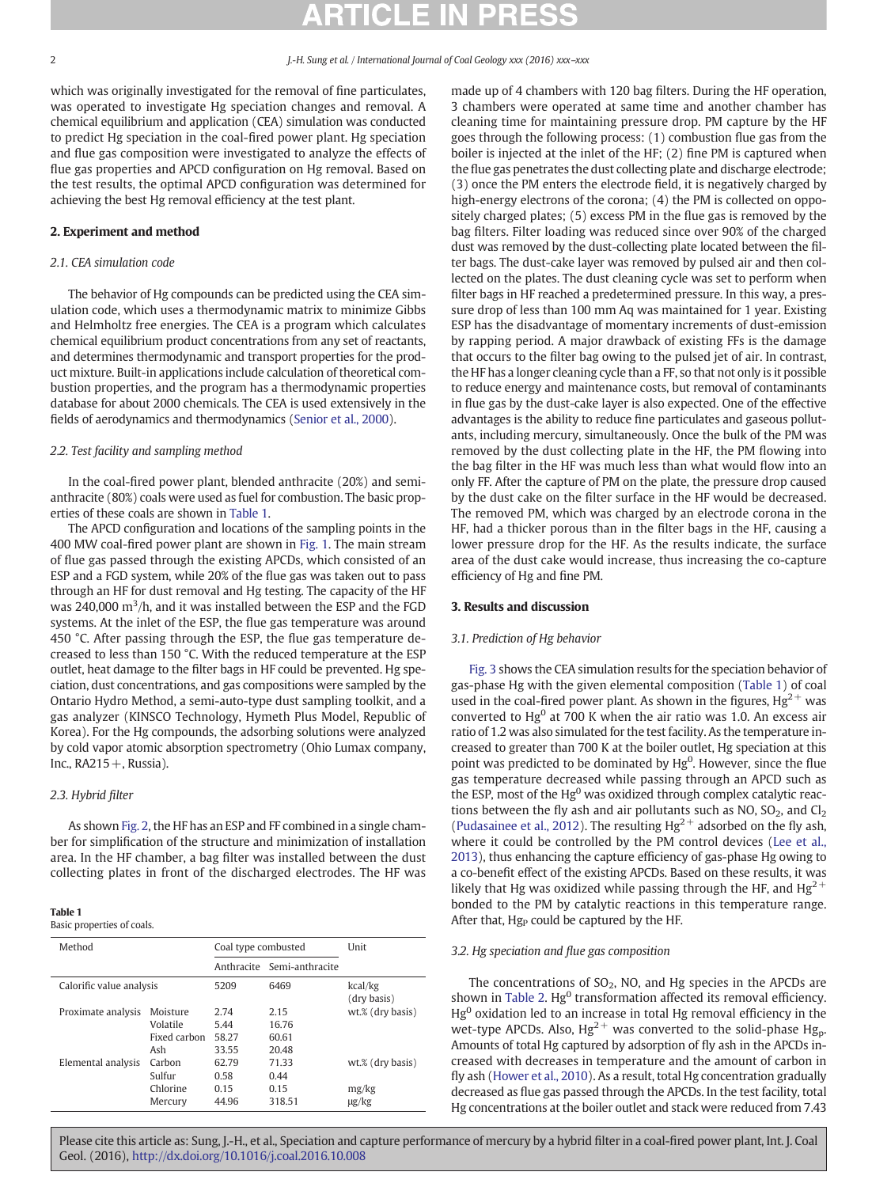which was originally investigated for the removal of fine particulates, was operated to investigate Hg speciation changes and removal. A chemical equilibrium and application (CEA) simulation was conducted to predict Hg speciation in the coal-fired power plant. Hg speciation and flue gas composition were investigated to analyze the effects of flue gas properties and APCD configuration on Hg removal. Based on the test results, the optimal APCD configuration was determined for achieving the best Hg removal efficiency at the test plant.

### 2. Experiment and method

#### 2.1. CEA simulation code

The behavior of Hg compounds can be predicted using the CEA simulation code, which uses a thermodynamic matrix to minimize Gibbs and Helmholtz free energies. The CEA is a program which calculates chemical equilibrium product concentrations from any set of reactants, and determines thermodynamic and transport properties for the product mixture. Built-in applications include calculation of theoretical combustion properties, and the program has a thermodynamic properties database for about 2000 chemicals. The CEA is used extensively in the fields of aerodynamics and thermodynamics ([Senior et al., 2000\)](#page--1-0).

#### 2.2. Test facility and sampling method

In the coal-fired power plant, blended anthracite (20%) and semianthracite (80%) coals were used as fuel for combustion. The basic properties of these coals are shown in Table 1.

The APCD configuration and locations of the sampling points in the 400 MW coal-fired power plant are shown in [Fig. 1.](#page--1-0) The main stream of flue gas passed through the existing APCDs, which consisted of an ESP and a FGD system, while 20% of the flue gas was taken out to pass through an HF for dust removal and Hg testing. The capacity of the HF was 240,000 m<sup>3</sup>/h, and it was installed between the ESP and the FGD systems. At the inlet of the ESP, the flue gas temperature was around 450 °C. After passing through the ESP, the flue gas temperature decreased to less than 150 °C. With the reduced temperature at the ESP outlet, heat damage to the filter bags in HF could be prevented. Hg speciation, dust concentrations, and gas compositions were sampled by the Ontario Hydro Method, a semi-auto-type dust sampling toolkit, and a gas analyzer (KINSCO Technology, Hymeth Plus Model, Republic of Korea). For the Hg compounds, the adsorbing solutions were analyzed by cold vapor atomic absorption spectrometry (Ohio Lumax company, Inc.,  $RA215 +$ , Russia).

## 2.3. Hybrid filter

As shown [Fig. 2](#page--1-0), the HF has an ESP and FF combined in a single chamber for simplification of the structure and minimization of installation area. In the HF chamber, a bag filter was installed between the dust collecting plates in front of the discharged electrodes. The HF was

#### Table 1

## Basic properties of coals.

| Method                   |                                             | Coal type combusted            |                                 | Unit                                    |
|--------------------------|---------------------------------------------|--------------------------------|---------------------------------|-----------------------------------------|
|                          |                                             |                                | Anthracite Semi-anthracite      |                                         |
| Calorific value analysis |                                             | 5209                           | 6469                            | kcal/kg<br>(dry basis)                  |
| Proximate analysis       | Moisture<br>Volatile<br>Fixed carbon<br>Ash | 2.74<br>5.44<br>58.27<br>33.55 | 2.15<br>16.76<br>60.61<br>20.48 | wt.% (dry basis)                        |
| Elemental analysis       | Carbon<br>Sulfur<br>Chlorine<br>Mercury     | 62.79<br>0.58<br>0.15<br>44.96 | 71.33<br>0.44<br>0.15<br>318.51 | wt.% (dry basis)<br>mg/kg<br>$\mu$ g/kg |

made up of 4 chambers with 120 bag filters. During the HF operation, 3 chambers were operated at same time and another chamber has cleaning time for maintaining pressure drop. PM capture by the HF goes through the following process: (1) combustion flue gas from the boiler is injected at the inlet of the HF; (2) fine PM is captured when the flue gas penetrates the dust collecting plate and discharge electrode; (3) once the PM enters the electrode field, it is negatively charged by high-energy electrons of the corona; (4) the PM is collected on oppositely charged plates; (5) excess PM in the flue gas is removed by the bag filters. Filter loading was reduced since over 90% of the charged dust was removed by the dust-collecting plate located between the filter bags. The dust-cake layer was removed by pulsed air and then collected on the plates. The dust cleaning cycle was set to perform when filter bags in HF reached a predetermined pressure. In this way, a pressure drop of less than 100 mm Aq was maintained for 1 year. Existing ESP has the disadvantage of momentary increments of dust-emission by rapping period. A major drawback of existing FFs is the damage that occurs to the filter bag owing to the pulsed jet of air. In contrast, the HF has a longer cleaning cycle than a FF, so that not only is it possible to reduce energy and maintenance costs, but removal of contaminants in flue gas by the dust-cake layer is also expected. One of the effective advantages is the ability to reduce fine particulates and gaseous pollutants, including mercury, simultaneously. Once the bulk of the PM was removed by the dust collecting plate in the HF, the PM flowing into the bag filter in the HF was much less than what would flow into an only FF. After the capture of PM on the plate, the pressure drop caused by the dust cake on the filter surface in the HF would be decreased. The removed PM, which was charged by an electrode corona in the HF, had a thicker porous than in the filter bags in the HF, causing a lower pressure drop for the HF. As the results indicate, the surface area of the dust cake would increase, thus increasing the co-capture efficiency of Hg and fine PM.

#### 3. Results and discussion

#### 3.1. Prediction of Hg behavior

[Fig. 3](#page--1-0) shows the CEA simulation results for the speciation behavior of gas-phase Hg with the given elemental composition (Table 1) of coal used in the coal-fired power plant. As shown in the figures,  $Hg^{2+}$  was converted to  $Hg^0$  at 700 K when the air ratio was 1.0. An excess air ratio of 1.2 was also simulated for the test facility. As the temperature increased to greater than 700 K at the boiler outlet, Hg speciation at this point was predicted to be dominated by  $Hg^{0}$ . However, since the flue gas temperature decreased while passing through an APCD such as the ESP, most of the  $Hg^0$  was oxidized through complex catalytic reactions between the fly ash and air pollutants such as NO,  $SO_2$ , and  $Cl_2$ [\(Pudasainee et al., 2012](#page--1-0)). The resulting  $Hg^{2+}$  adsorbed on the fly ash, where it could be controlled by the PM control devices [\(Lee et al.,](#page--1-0) [2013\)](#page--1-0), thus enhancing the capture efficiency of gas-phase Hg owing to a co-benefit effect of the existing APCDs. Based on these results, it was likely that Hg was oxidized while passing through the HF, and  $Hg^{2+}$ bonded to the PM by catalytic reactions in this temperature range. After that,  $Hg<sub>P</sub>$  could be captured by the HF.

#### 3.2. Hg speciation and flue gas composition

The concentrations of  $SO_2$ , NO, and Hg species in the APCDs are shown in [Table 2](#page--1-0).  $Hg<sup>0</sup>$  transformation affected its removal efficiency.  $Hg<sup>0</sup>$  oxidation led to an increase in total Hg removal efficiency in the wet-type APCDs. Also,  $Hg^{2+}$  was converted to the solid-phase  $Hg_p$ . Amounts of total Hg captured by adsorption of fly ash in the APCDs increased with decreases in temperature and the amount of carbon in fly ash ([Hower et al., 2010\)](#page--1-0). As a result, total Hg concentration gradually decreased as flue gas passed through the APCDs. In the test facility, total Hg concentrations at the boiler outlet and stack were reduced from 7.43

Please cite this article as: Sung, J.-H., et al., Speciation and capture performance of mercury by a hybrid filter in a coal-fired power plant, Int. J. Coal Geol. (2016), <http://dx.doi.org/10.1016/j.coal.2016.10.008>